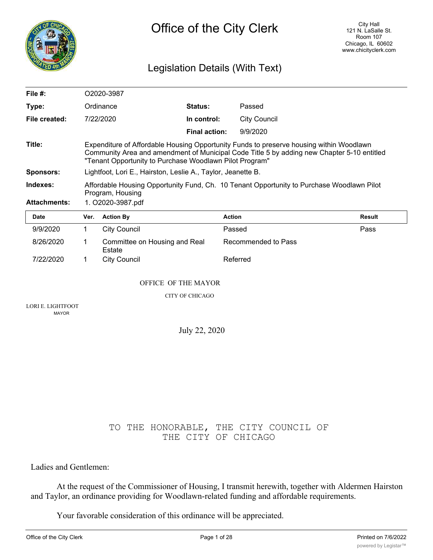

# Legislation Details (With Text)

| File $#$ :          |                                                                                                                                                                                                                                                  | O2020-3987                                                   |                        |                     |               |  |
|---------------------|--------------------------------------------------------------------------------------------------------------------------------------------------------------------------------------------------------------------------------------------------|--------------------------------------------------------------|------------------------|---------------------|---------------|--|
| Type:               |                                                                                                                                                                                                                                                  | Ordinance                                                    | Status:                | Passed              |               |  |
| File created:       |                                                                                                                                                                                                                                                  | 7/22/2020                                                    | In control:            | <b>City Council</b> |               |  |
|                     |                                                                                                                                                                                                                                                  |                                                              | Final action:          | 9/9/2020            |               |  |
| Title:              | Expenditure of Affordable Housing Opportunity Funds to preserve housing within Woodlawn<br>Community Area and amendment of Municipal Code Title 5 by adding new Chapter 5-10 entitled<br>"Tenant Opportunity to Purchase Woodlawn Pilot Program" |                                                              |                        |                     |               |  |
| <b>Sponsors:</b>    |                                                                                                                                                                                                                                                  | Lightfoot, Lori E., Hairston, Leslie A., Taylor, Jeanette B. |                        |                     |               |  |
| Indexes:            | Affordable Housing Opportunity Fund, Ch. 10 Tenant Opportunity to Purchase Woodlawn Pilot                                                                                                                                                        |                                                              |                        |                     |               |  |
| <b>Attachments:</b> | Program, Housing<br>1. O2020-3987.pdf                                                                                                                                                                                                            |                                                              |                        |                     |               |  |
|                     |                                                                                                                                                                                                                                                  |                                                              |                        |                     |               |  |
| <b>Date</b>         | Ver.                                                                                                                                                                                                                                             | <b>Action By</b>                                             | <b>Action</b>          |                     | <b>Result</b> |  |
| 9/9/2020            | $\mathbf{1}$                                                                                                                                                                                                                                     | <b>City Council</b>                                          | Passed                 |                     | Pass          |  |
| 8/26/2020           | 1                                                                                                                                                                                                                                                | Committee on Housing and Real<br>Estate                      |                        | Recommended to Pass |               |  |
| 7/22/2020           | 1                                                                                                                                                                                                                                                | <b>City Council</b>                                          |                        | Referred            |               |  |
|                     |                                                                                                                                                                                                                                                  | <b>OFFICE OF THE MAYOR</b>                                   |                        |                     |               |  |
|                     |                                                                                                                                                                                                                                                  |                                                              | <b>CITY OF CHICAGO</b> |                     |               |  |

July 22, 2020

# TO THE HONORABLE, THE CITY COUNCIL OF THE CITY OF CHICAGO

Ladies and Gentlemen:

At the request of the Commissioner of Housing, I transmit herewith, together with Aldermen Hairston and Taylor, an ordinance providing for Woodlawn-related funding and affordable requirements.

Your favorable consideration of this ordinance will be appreciated.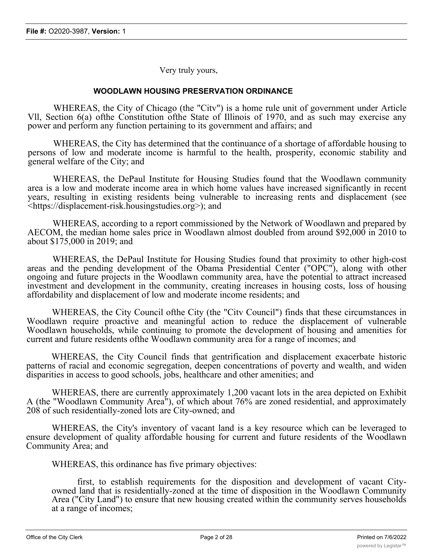Very truly yours,

# **WOODLAWN HOUSING PRESERVATION ORDINANCE**

WHEREAS, the City of Chicago (the "Citv") is a home rule unit of government under Article Vll, Section 6(a) ofthe Constitution ofthe State of Illinois of 1970, and as such may exercise any power and perform any function pertaining to its government and affairs; and

WHEREAS, the City has determined that the continuance of a shortage of affordable housing to persons of low and moderate income is harmful to the health, prosperity, economic stability and general welfare of the City; and

WHEREAS, the DePaul Institute for Housing Studies found that the Woodlawn community area is a low and moderate income area in which home values have increased significantly in recent years, resulting in existing residents being vulnerable to increasing rents and displacement (see <https://displacement-risk.housingstudies.org>); and

WHEREAS, according to a report commissioned by the Network of Woodlawn and prepared by AECOM, the median home sales price in Woodlawn almost doubled from around \$92,000 in 2010 to about \$175,000 in 2019; and

WHEREAS, the DePaul Institute for Housing Studies found that proximity to other high-cost areas and the pending development of the Obama Presidential Center ("OPC"), along with other ongoing and future projects in the Woodlawn community area, have the potential to attract increased investment and development in the community, creating increases in housing costs, loss of housing affordability and displacement of low and moderate income residents; and

WHEREAS, the City Council ofthe City (the "Citv Council") finds that these circumstances in Woodlawn require proactive and meaningful action to reduce the displacement of vulnerable Woodlawn households, while continuing to promote the development of housing and amenities for current and future residents ofthe Woodlawn community area for a range of incomes; and

WHEREAS, the City Council finds that gentrification and displacement exacerbate historic patterns of racial and economic segregation, deepen concentrations of poverty and wealth, and widen disparities in access to good schools, jobs, healthcare and other amenities; and

WHEREAS, there are currently approximately 1,200 vacant lots in the area depicted on Exhibit A (the "Woodlawn Community Area"), of which about 76% are zoned residential, and approximately 208 of such residentially-zoned lots are City-owned; and

WHEREAS, the City's inventory of vacant land is a key resource which can be leveraged to ensure development of quality affordable housing for current and future residents of the Woodlawn Community Area; and

WHEREAS, this ordinance has five primary objectives:

first, to establish requirements for the disposition and development of vacant Cityowned land that is residentially-zoned at the time of disposition in the Woodlawn Community Area ("City Land") to ensure that new housing created within the community serves households at a range of incomes;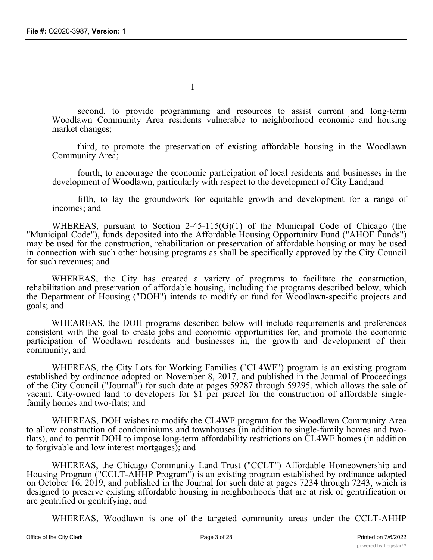second, to provide programming and resources to assist current and long-term Woodlawn Community Area residents vulnerable to neighborhood economic and housing market changes;

third, to promote the preservation of existing affordable housing in the Woodlawn Community Area;

fourth, to encourage the economic participation of local residents and businesses in the development of Woodlawn, particularly with respect to the development of City Land;and

fifth, to lay the groundwork for equitable growth and development for a range of incomes; and

WHEREAS, pursuant to Section 2-45-115(G)(1) of the Municipal Code of Chicago (the "Municipal Code"), funds deposited into the Affordable Housing Opportunity Fund ("AHOF Funds") may be used for the construction, rehabilitation or preservation of affordable housing or may be used in connection with such other housing programs as shall be specifically approved by the City Council for such revenues; and

WHEREAS, the City has created a variety of programs to facilitate the construction, rehabilitation and preservation of affordable housing, including the programs described below, which the Department of Housing ("DOH") intends to modify or fund for Woodlawn-specific projects and goals; and

WHEAREAS, the DOH programs described below will include requirements and preferences consistent with the goal to create jobs and economic opportunities for, and promote the economic participation of Woodlawn residents and businesses in, the growth and development of their community, and

WHEREAS, the City Lots for Working Families ("CL4WF") program is an existing program established by ordinance adopted on November 8, 2017, and published in the Journal of Proceedings of the City Council ("Journal") for such date at pages 59287 through 59295, which allows the sale of vacant, City-owned land to developers for \$1 per parcel for the construction of affordable singlefamily homes and two-flats; and

WHEREAS, DOH wishes to modify the CL4WF program for the Woodlawn Community Area to allow construction of condominiums and townhouses (in addition to single-family homes and twoflats), and to permit DOH to impose long-term affordability restrictions on CL4WF homes (in addition to forgivable and low interest mortgages); and

WHEREAS, the Chicago Community Land Trust ("CCLT") Affordable Homeownership and Housing Program ("CCLT-AHHP Program") is an existing program established by ordinance adopted on October 16, 2019, and published in the Journal for such date at pages 7234 through 7243, which is designed to preserve existing affordable housing in neighborhoods that are at risk of gentrification or are gentrified or gentrifying; and

WHEREAS, Woodlawn is one of the targeted community areas under the CCLT-AHHP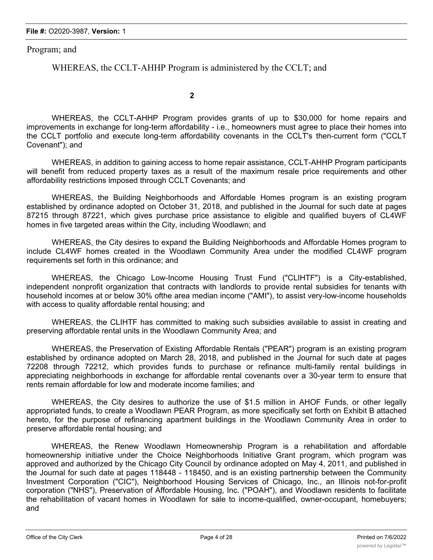Program; and

WHEREAS, the CCLT-AHHP Program is administered by the CCLT; and

**2**

WHEREAS, the CCLT-AHHP Program provides grants of up to \$30,000 for home repairs and improvements in exchange for long-term affordability - i.e., homeowners must agree to place their homes into the CCLT portfolio and execute long-term affordability covenants in the CCLT's then-current form ("CCLT Covenant"); and

WHEREAS, in addition to gaining access to home repair assistance, CCLT-AHHP Program participants will benefit from reduced property taxes as a result of the maximum resale price requirements and other affordability restrictions imposed through CCLT Covenants; and

WHEREAS, the Building Neighborhoods and Affordable Homes program is an existing program established by ordinance adopted on October 31, 2018, and published in the Journal for such date at pages 87215 through 87221, which gives purchase price assistance to eligible and qualified buyers of CL4WF homes in five targeted areas within the City, including Woodlawn; and

WHEREAS, the City desires to expand the Building Neighborhoods and Affordable Homes program to include CL4WF homes created in the Woodlawn Community Area under the modified CL4WF program requirements set forth in this ordinance; and

WHEREAS, the Chicago Low-Income Housing Trust Fund ("CLIHTF") is a City-established, independent nonprofit organization that contracts with landlords to provide rental subsidies for tenants with household incomes at or below 30% ofthe area median income ("AMI"), to assist very-low-income households with access to quality affordable rental housing; and

WHEREAS, the CLIHTF has committed to making such subsidies available to assist in creating and preserving affordable rental units in the Woodlawn Community Area; and

WHEREAS, the Preservation of Existing Affordable Rentals ("PEAR") program is an existing program established by ordinance adopted on March 28, 2018, and published in the Journal for such date at pages 72208 through 72212, which provides funds to purchase or refinance multi-family rental buildings in appreciating neighborhoods in exchange for affordable rental covenants over a 30-year term to ensure that rents remain affordable for low and moderate income families; and

WHEREAS, the City desires to authorize the use of \$1.5 million in AHOF Funds, or other legally appropriated funds, to create a Woodlawn PEAR Program, as more specifically set forth on Exhibit B attached hereto, for the purpose of refinancing apartment buildings in the Woodlawn Community Area in order to preserve affordable rental housing; and

WHEREAS, the Renew Woodlawn Homeownership Program is a rehabilitation and affordable homeownership initiative under the Choice Neighborhoods Initiative Grant program, which program was approved and authorized by the Chicago City Council by ordinance adopted on May 4, 2011, and published in the Journal for such date at pages 118448 - 118450, and is an existing partnership between the Community Investment Corporation ("CIC"), Neighborhood Housing Services of Chicago, Inc., an Illinois not-for-profit corporation ("NHS"), Preservation of Affordable Housing, Inc. ("POAH"), and Woodlawn residents to facilitate the rehabilitation of vacant homes in Woodlawn for sale to income-qualified, owner-occupant, homebuyers; and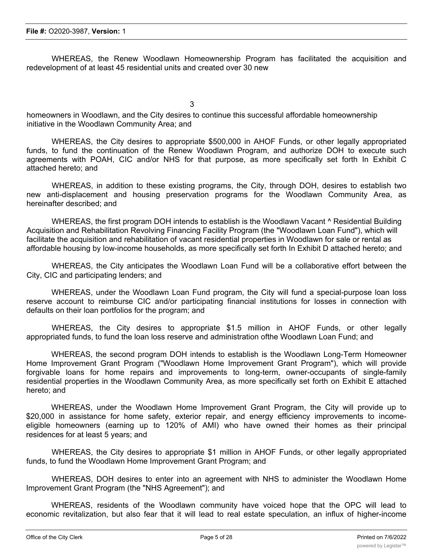WHEREAS, the Renew Woodlawn Homeownership Program has facilitated the acquisition and redevelopment of at least 45 residential units and created over 30 new

3

homeowners in Woodlawn, and the City desires to continue this successful affordable homeownership initiative in the Woodlawn Community Area; and

WHEREAS, the City desires to appropriate \$500,000 in AHOF Funds, or other legally appropriated funds, to fund the continuation of the Renew Woodlawn Program, and authorize DOH to execute such agreements with POAH, CIC and/or NHS for that purpose, as more specifically set forth In Exhibit C attached hereto; and

WHEREAS, in addition to these existing programs, the City, through DOH, desires to establish two new anti-displacement and housing preservation programs for the Woodlawn Community Area, as hereinafter described; and

WHEREAS, the first program DOH intends to establish is the Woodlawn Vacant ^ Residential Building Acquisition and Rehabilitation Revolving Financing Facility Program (the "Woodlawn Loan Fund"), which will facilitate the acquisition and rehabilitation of vacant residential properties in Woodlawn for sale or rental as affordable housing by low-income households, as more specifically set forth In Exhibit D attached hereto; and

WHEREAS, the City anticipates the Woodlawn Loan Fund will be a collaborative effort between the City, CIC and participating lenders; and

WHEREAS, under the Woodlawn Loan Fund program, the City will fund a special-purpose loan loss reserve account to reimburse CIC and/or participating financial institutions for losses in connection with defaults on their loan portfolios for the program; and

WHEREAS, the City desires to appropriate \$1.5 million in AHOF Funds, or other legally appropriated funds, to fund the loan loss reserve and administration ofthe Woodlawn Loan Fund; and

WHEREAS, the second program DOH intends to establish is the Woodlawn Long-Term Homeowner Home Improvement Grant Program ("Woodlawn Home Improvement Grant Program"), which will provide forgivable loans for home repairs and improvements to long-term, owner-occupants of single-family residential properties in the Woodlawn Community Area, as more specifically set forth on Exhibit E attached hereto; and

WHEREAS, under the Woodlawn Home Improvement Grant Program, the City will provide up to \$20,000 in assistance for home safety, exterior repair, and energy efficiency improvements to incomeeligible homeowners (earning up to 120% of AMI) who have owned their homes as their principal residences for at least 5 years; and

WHEREAS, the City desires to appropriate \$1 million in AHOF Funds, or other legally appropriated funds, to fund the Woodlawn Home Improvement Grant Program; and

WHEREAS, DOH desires to enter into an agreement with NHS to administer the Woodlawn Home Improvement Grant Program (the "NHS Agreement"); and

WHEREAS, residents of the Woodlawn community have voiced hope that the OPC will lead to economic revitalization, but also fear that it will lead to real estate speculation, an influx of higher-income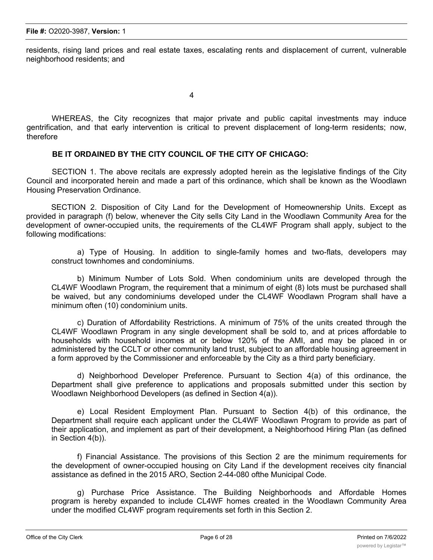residents, rising land prices and real estate taxes, escalating rents and displacement of current, vulnerable neighborhood residents; and

4

WHEREAS, the City recognizes that major private and public capital investments may induce gentrification, and that early intervention is critical to prevent displacement of long-term residents; now, therefore

# **BE IT ORDAINED BY THE CITY COUNCIL OF THE CITY OF CHICAGO:**

SECTION 1. The above recitals are expressly adopted herein as the legislative findings of the City Council and incorporated herein and made a part of this ordinance, which shall be known as the Woodlawn Housing Preservation Ordinance.

SECTION 2. Disposition of City Land for the Development of Homeownership Units. Except as provided in paragraph (f) below, whenever the City sells City Land in the Woodlawn Community Area for the development of owner-occupied units, the requirements of the CL4WF Program shall apply, subject to the following modifications:

a) Type of Housing. In addition to single-family homes and two-flats, developers may construct townhomes and condominiums.

b) Minimum Number of Lots Sold. When condominium units are developed through the CL4WF Woodlawn Program, the requirement that a minimum of eight (8) lots must be purchased shall be waived, but any condominiums developed under the CL4WF Woodlawn Program shall have a minimum often (10) condominium units.

c) Duration of Affordability Restrictions. A minimum of 75% of the units created through the CL4WF Woodlawn Program in any single development shall be sold to, and at prices affordable to households with household incomes at or below 120% of the AMI, and may be placed in or administered by the CCLT or other community land trust, subject to an affordable housing agreement in a form approved by the Commissioner and enforceable by the City as a third party beneficiary.

d) Neighborhood Developer Preference. Pursuant to Section 4(a) of this ordinance, the Department shall give preference to applications and proposals submitted under this section by Woodlawn Neighborhood Developers (as defined in Section 4(a)).

e) Local Resident Employment Plan. Pursuant to Section 4(b) of this ordinance, the Department shall require each applicant under the CL4WF Woodlawn Program to provide as part of their application, and implement as part of their development, a Neighborhood Hiring Plan (as defined in Section 4(b)).

f) Financial Assistance. The provisions of this Section 2 are the minimum requirements for the development of owner-occupied housing on City Land if the development receives city financial assistance as defined in the 2015 ARO, Section 2-44-080 ofthe Municipal Code.

g) Purchase Price Assistance. The Building Neighborhoods and Affordable Homes program is hereby expanded to include CL4WF homes created in the Woodlawn Community Area under the modified CL4WF program requirements set forth in this Section 2.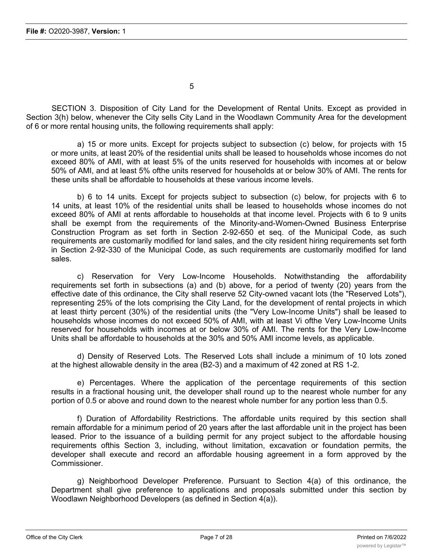SECTION 3. Disposition of City Land for the Development of Rental Units. Except as provided in Section 3(h) below, whenever the City sells City Land in the Woodlawn Community Area for the development of 6 or more rental housing units, the following requirements shall apply:

a) 15 or more units. Except for projects subject to subsection (c) below, for projects with 15 or more units, at least 20% of the residential units shall be leased to households whose incomes do not exceed 80% of AMI, with at least 5% of the units reserved for households with incomes at or below 50% of AMI, and at least 5% ofthe units reserved for households at or below 30% of AMI. The rents for these units shall be affordable to households at these various income levels.

b) 6 to 14 units. Except for projects subject to subsection (c) below, for projects with 6 to 14 units, at least 10% of the residential units shall be leased to households whose incomes do not exceed 80% of AMI at rents affordable to households at that income level. Projects with 6 to 9 units shall be exempt from the requirements of the Minority-and-Women-Owned Business Enterprise Construction Program as set forth in Section 2-92-650 et seq. of the Municipal Code, as such requirements are customarily modified for land sales, and the city resident hiring requirements set forth in Section 2-92-330 of the Municipal Code, as such requirements are customarily modified for land sales.

c) Reservation for Very Low-Income Households. Notwithstanding the affordability requirements set forth in subsections (a) and (b) above, for a period of twenty (20) years from the effective date of this ordinance, the City shall reserve 52 City-owned vacant lots (the "Reserved Lots"), representing 25% of the lots comprising the City Land, for the development of rental projects in which at least thirty percent (30%) of the residential units (the "Very Low-Income Units") shall be leased to households whose incomes do not exceed 50% of AMI, with at least Vi ofthe Very Low-Income Units reserved for households with incomes at or below 30% of AMI. The rents for the Very Low-Income Units shall be affordable to households at the 30% and 50% AMI income levels, as applicable.

d) Density of Reserved Lots. The Reserved Lots shall include a minimum of 10 lots zoned at the highest allowable density in the area (B2-3) and a maximum of 42 zoned at RS 1-2.

e) Percentages. Where the application of the percentage requirements of this section results in a fractional housing unit, the developer shall round up to the nearest whole number for any portion of 0.5 or above and round down to the nearest whole number for any portion less than 0.5.

f) Duration of Affordability Restrictions. The affordable units required by this section shall remain affordable for a minimum period of 20 years after the last affordable unit in the project has been leased. Prior to the issuance of a building permit for any project subject to the affordable housing requirements ofthis Section 3, including, without limitation, excavation or foundation permits, the developer shall execute and record an affordable housing agreement in a form approved by the Commissioner.

g) Neighborhood Developer Preference. Pursuant to Section 4(a) of this ordinance, the Department shall give preference to applications and proposals submitted under this section by Woodlawn Neighborhood Developers (as defined in Section 4(a)).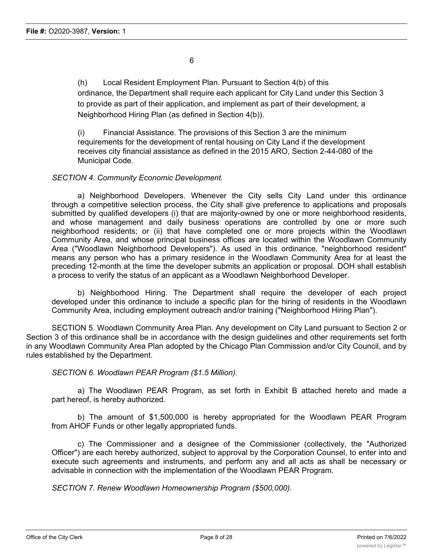(h) Local Resident Employment Plan. Pursuant to Section 4(b) of this ordinance, the Department shall require each applicant for City Land under this Section 3 to provide as part of their application, and implement as part of their development, a Neighborhood Hiring Plan (as defined in Section 4(b)).

(i) Financial Assistance. The provisions of this Section 3 are the minimum requirements for the development of rental housing on City Land if the development receives city financial assistance as defined in the 2015 ARO, Section 2-44-080 of the Municipal Code.

# *SECTION 4. Community Economic Development.*

a) Neighborhood Developers. Whenever the City sells City Land under this ordinance through a competitive selection process, the City shall give preference to applications and proposals submitted by qualified developers (i) that are majority-owned by one or more neighborhood residents, and whose management and daily business operations are controlled by one or more such neighborhood residents; or (ii) that have completed one or more projects within the Woodlawn Community Area, and whose principal business offices are located within the Woodlawn Community Area ("Woodlawn Neighborhood Developers"). As used in this ordinance, "neighborhood resident" means any person who has a primary residence in the Woodlawn Community Area for at least the preceding 12-month at the time the developer submits an application or proposal. DOH shall establish a process to verify the status of an applicant as a Woodlawn Neighborhood Developer.

b) Neighborhood Hiring. The Department shall require the developer of each project developed under this ordinance to include a specific plan for the hiring of residents in the Woodlawn Community Area, including employment outreach and/or training ("Neighborhood Hiring Plan").

SECTION 5. Woodlawn Community Area Plan. Any development on City Land pursuant to Section 2 or Section 3 of this ordinance shall be in accordance with the design guidelines and other requirements set forth in any Woodlawn Community Area Plan adopted by the Chicago Plan Commission and/or City Council, and by rules established by the Department.

*SECTION 6. Woodlawn PEAR Program (\$1.5 Million).*

a) The Woodlawn PEAR Program, as set forth in Exhibit B attached hereto and made a part hereof, is hereby authorized.

b) The amount of \$1,500,000 is hereby appropriated for the Woodlawn PEAR Program from AHOF Funds or other legally appropriated funds.

c) The Commissioner and a designee of the Commissioner (collectively, the "Authorized Officer") are each hereby authorized, subject to approval by the Corporation Counsel, to enter into and execute such agreements and instruments, and perform any and all acts as shall be necessary or advisable in connection with the implementation of the Woodlawn PEAR Program.

*SECTION 7. Renew Woodlawn Homeownership Program (\$500,000).*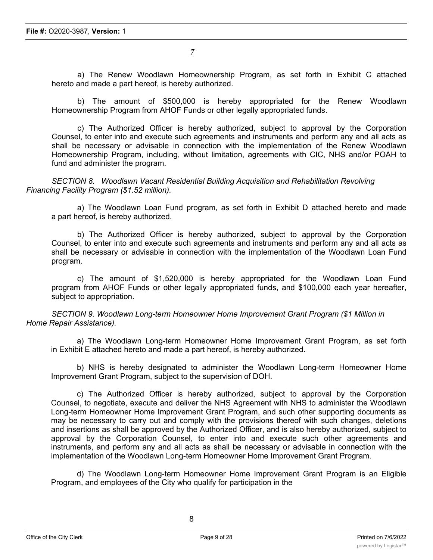a) The Renew Woodlawn Homeownership Program, as set forth in Exhibit C attached hereto and made a part hereof, is hereby authorized.

b) The amount of \$500,000 is hereby appropriated for the Renew Woodlawn Homeownership Program from AHOF Funds or other legally appropriated funds.

c) The Authorized Officer is hereby authorized, subject to approval by the Corporation Counsel, to enter into and execute such agreements and instruments and perform any and all acts as shall be necessary or advisable in connection with the implementation of the Renew Woodlawn Homeownership Program, including, without limitation, agreements with CIC, NHS and/or POAH to fund and administer the program.

*SECTION 8. Woodlawn Vacant Residential Building Acquisition and Rehabilitation Revolving Financing Facility Program (\$1.52 million).*

a) The Woodlawn Loan Fund program, as set forth in Exhibit D attached hereto and made a part hereof, is hereby authorized.

b) The Authorized Officer is hereby authorized, subject to approval by the Corporation Counsel, to enter into and execute such agreements and instruments and perform any and all acts as shall be necessary or advisable in connection with the implementation of the Woodlawn Loan Fund program.

c) The amount of \$1,520,000 is hereby appropriated for the Woodlawn Loan Fund program from AHOF Funds or other legally appropriated funds, and \$100,000 each year hereafter, subject to appropriation.

*SECTION 9. Woodlawn Long-term Homeowner Home Improvement Grant Program (\$1 Million in Home Repair Assistance).*

a) The Woodlawn Long-term Homeowner Home Improvement Grant Program, as set forth in Exhibit E attached hereto and made a part hereof, is hereby authorized.

b) NHS is hereby designated to administer the Woodlawn Long-term Homeowner Home Improvement Grant Program, subject to the supervision of DOH.

c) The Authorized Officer is hereby authorized, subject to approval by the Corporation Counsel, to negotiate, execute and deliver the NHS Agreement with NHS to administer the Woodlawn Long-term Homeowner Home Improvement Grant Program, and such other supporting documents as may be necessary to carry out and comply with the provisions thereof with such changes, deletions and insertions as shall be approved by the Authorized Officer, and is also hereby authorized, subject to approval by the Corporation Counsel, to enter into and execute such other agreements and instruments, and perform any and all acts as shall be necessary or advisable in connection with the implementation of the Woodlawn Long-term Homeowner Home Improvement Grant Program.

d) The Woodlawn Long-term Homeowner Home Improvement Grant Program is an Eligible Program, and employees of the City who qualify for participation in the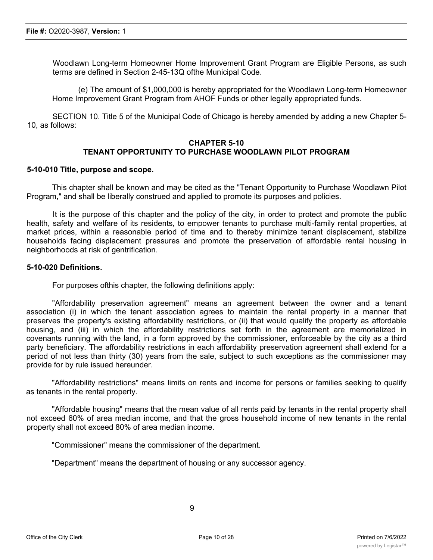Woodlawn Long-term Homeowner Home Improvement Grant Program are Eligible Persons, as such terms are defined in Section 2-45-13Q ofthe Municipal Code.

(e) The amount of \$1,000,000 is hereby appropriated for the Woodlawn Long-term Homeowner Home Improvement Grant Program from AHOF Funds or other legally appropriated funds.

SECTION 10. Title 5 of the Municipal Code of Chicago is hereby amended by adding a new Chapter 5- 10, as follows:

# **CHAPTER 5-10 TENANT OPPORTUNITY TO PURCHASE WOODLAWN PILOT PROGRAM**

### **5-10-010 Title, purpose and scope.**

This chapter shall be known and may be cited as the "Tenant Opportunity to Purchase Woodlawn Pilot Program," and shall be liberally construed and applied to promote its purposes and policies.

It is the purpose of this chapter and the policy of the city, in order to protect and promote the public health, safety and welfare of its residents, to empower tenants to purchase multi-family rental properties, at market prices, within a reasonable period of time and to thereby minimize tenant displacement, stabilize households facing displacement pressures and promote the preservation of affordable rental housing in neighborhoods at risk of gentrification.

### **5-10-020 Definitions.**

For purposes ofthis chapter, the following definitions apply:

"Affordability preservation agreement" means an agreement between the owner and a tenant association (i) in which the tenant association agrees to maintain the rental property in a manner that preserves the property's existing affordability restrictions, or (ii) that would qualify the property as affordable housing, and (iii) in which the affordability restrictions set forth in the agreement are memorialized in covenants running with the land, in a form approved by the commissioner, enforceable by the city as a third party beneficiary. The affordability restrictions in each affordability preservation agreement shall extend for a period of not less than thirty (30) years from the sale, subject to such exceptions as the commissioner may provide for by rule issued hereunder.

"Affordability restrictions" means limits on rents and income for persons or families seeking to qualify as tenants in the rental property.

"Affordable housing" means that the mean value of all rents paid by tenants in the rental property shall not exceed 60% of area median income, and that the gross household income of new tenants in the rental property shall not exceed 80% of area median income.

"Commissioner" means the commissioner of the department.

"Department" means the department of housing or any successor agency.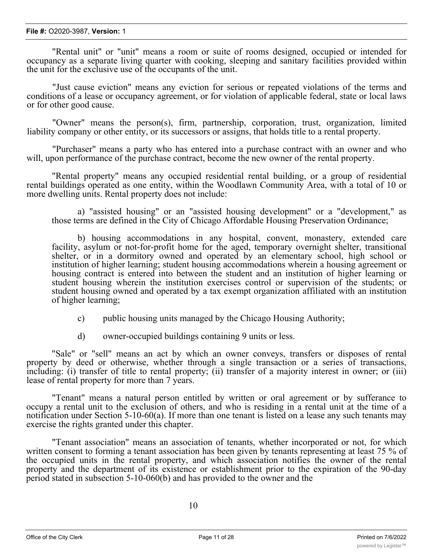#### **File #:** O2020-3987, **Version:** 1

"Rental unit" or "unit" means a room or suite of rooms designed, occupied or intended for occupancy as a separate living quarter with cooking, sleeping and sanitary facilities provided within the unit for the exclusive use of the occupants of the unit.

"Just cause eviction" means any eviction for serious or repeated violations of the terms and conditions of a lease or occupancy agreement, or for violation of applicable federal, state or local laws or for other good cause.

"Owner" means the person(s), firm, partnership, corporation, trust, organization, limited liability company or other entity, or its successors or assigns, that holds title to a rental property.

"Purchaser" means a party who has entered into a purchase contract with an owner and who will, upon performance of the purchase contract, become the new owner of the rental property.

"Rental property" means any occupied residential rental building, or a group of residential rental buildings operated as one entity, within the Woodlawn Community Area, with a total of 10 or more dwelling units. Rental property does not include:

a) "assisted housing" or an "assisted housing development" or a "development," as those terms are defined in the City of Chicago Affordable Housing Preservation Ordinance;

b) housing accommodations in any hospital, convent, monastery, extended care facility, asylum or not-for-profit home for the aged, temporary overnight shelter, transitional shelter, or in a dormitory owned and operated by an elementary school, high school or institution of higher learning; student housing accommodations wherein a housing agreement or housing contract is entered into between the student and an institution of higher learning or student housing wherein the institution exercises control or supervision of the students; or student housing owned and operated by a tax exempt organization affiliated with an institution of higher learning;

- c) public housing units managed by the Chicago Housing Authority;
- d) owner-occupied buildings containing 9 units or less.

"Sale" or "sell" means an act by which an owner conveys, transfers or disposes of rental property by deed or otherwise, whether through a single transaction or a series of transactions, including: (i) transfer of title to rental property; (ii) transfer of a majority interest in owner; or (iii) lease of rental property for more than 7 years.

"Tenant" means a natural person entitled by written or oral agreement or by sufferance to occupy a rental unit to the exclusion of others, and who is residing in a rental unit at the time of a notification under Section 5-10-60(a). If more than one tenant is listed on a lease any such tenants may exercise the rights granted under this chapter.

"Tenant association" means an association of tenants, whether incorporated or not, for which written consent to forming a tenant association has been given by tenants representing at least 75 % of the occupied units in the rental property, and which association notifies the owner of the rental property and the department of its existence or establishment prior to the expiration of the 90-day period stated in subsection 5-10-060(b) and has provided to the owner and the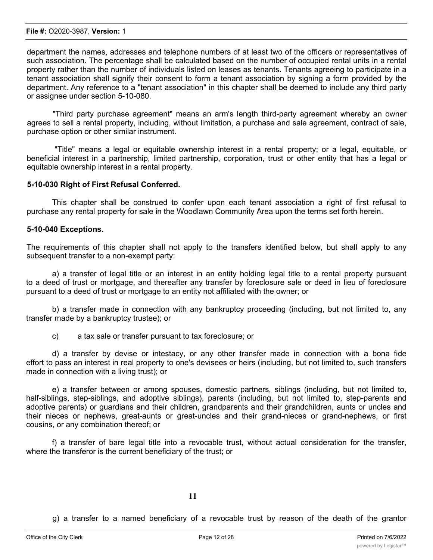department the names, addresses and telephone numbers of at least two of the officers or representatives of such association. The percentage shall be calculated based on the number of occupied rental units in a rental property rather than the number of individuals listed on leases as tenants. Tenants agreeing to participate in a tenant association shall signify their consent to form a tenant association by signing a form provided by the department. Any reference to a "tenant association" in this chapter shall be deemed to include any third party or assignee under section 5-10-080.

"Third party purchase agreement" means an arm's length third-party agreement whereby an owner agrees to sell a rental property, including, without limitation, a purchase and sale agreement, contract of sale, purchase option or other similar instrument.

"Title" means a legal or equitable ownership interest in a rental property; or a legal, equitable, or beneficial interest in a partnership, limited partnership, corporation, trust or other entity that has a legal or equitable ownership interest in a rental property.

# **5-10-030 Right of First Refusal Conferred.**

This chapter shall be construed to confer upon each tenant association a right of first refusal to purchase any rental property for sale in the Woodlawn Community Area upon the terms set forth herein.

# **5-10-040 Exceptions.**

The requirements of this chapter shall not apply to the transfers identified below, but shall apply to any subsequent transfer to a non-exempt party:

a) a transfer of legal title or an interest in an entity holding legal title to a rental property pursuant to a deed of trust or mortgage, and thereafter any transfer by foreclosure sale or deed in lieu of foreclosure pursuant to a deed of trust or mortgage to an entity not affiliated with the owner; or

b) a transfer made in connection with any bankruptcy proceeding (including, but not limited to, any transfer made by a bankruptcy trustee); or

c) a tax sale or transfer pursuant to tax foreclosure; or

d) a transfer by devise or intestacy, or any other transfer made in connection with a bona fide effort to pass an interest in real property to one's devisees or heirs (including, but not limited to, such transfers made in connection with a living trust); or

e) a transfer between or among spouses, domestic partners, siblings (including, but not limited to, half-siblings, step-siblings, and adoptive siblings), parents (including, but not limited to, step-parents and adoptive parents) or guardians and their children, grandparents and their grandchildren, aunts or uncles and their nieces or nephews, great-aunts or great-uncles and their grand-nieces or grand-nephews, or first cousins, or any combination thereof; or

f) a transfer of bare legal title into a revocable trust, without actual consideration for the transfer, where the transferor is the current beneficiary of the trust; or

g) a transfer to a named beneficiary of a revocable trust by reason of the death of the grantor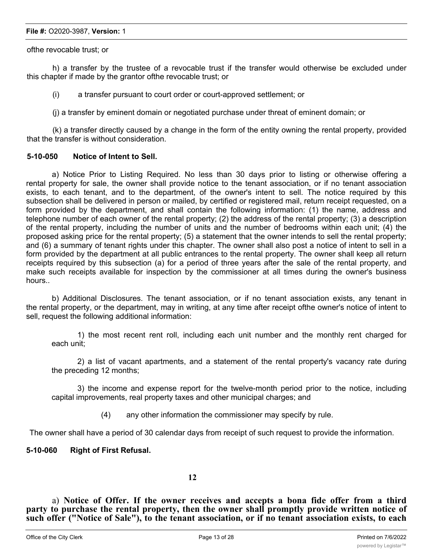#### **File #:** O2020-3987, **Version:** 1

ofthe revocable trust; or

h) a transfer by the trustee of a revocable trust if the transfer would otherwise be excluded under this chapter if made by the grantor ofthe revocable trust; or

(i) a transfer pursuant to court order or court-approved settlement; or

(j) a transfer by eminent domain or negotiated purchase under threat of eminent domain; or

(k) a transfer directly caused by a change in the form of the entity owning the rental property, provided that the transfer is without consideration.

# **5-10-050 Notice of Intent to Sell.**

a) Notice Prior to Listing Required. No less than 30 days prior to listing or otherwise offering a rental property for sale, the owner shall provide notice to the tenant association, or if no tenant association exists, to each tenant, and to the department, of the owner's intent to sell. The notice required by this subsection shall be delivered in person or mailed, by certified or registered mail, return receipt requested, on a form provided by the department, and shall contain the following information: (1) the name, address and telephone number of each owner of the rental property; (2) the address of the rental property; (3) a description of the rental property, including the number of units and the number of bedrooms within each unit; (4) the proposed asking price for the rental property; (5) a statement that the owner intends to sell the rental property; and (6) a summary of tenant rights under this chapter. The owner shall also post a notice of intent to sell in a form provided by the department at all public entrances to the rental property. The owner shall keep all return receipts required by this subsection (a) for a period of three years after the sale of the rental property, and make such receipts available for inspection by the commissioner at all times during the owner's business hours..

b) Additional Disclosures. The tenant association, or if no tenant association exists, any tenant in the rental property, or the department, may in writing, at any time after receipt ofthe owner's notice of intent to sell, request the following additional information:

1) the most recent rent roll, including each unit number and the monthly rent charged for each unit;

2) a list of vacant apartments, and a statement of the rental property's vacancy rate during the preceding 12 months;

3) the income and expense report for the twelve-month period prior to the notice, including capital improvements, real property taxes and other municipal charges; and

(4) any other information the commissioner may specify by rule.

The owner shall have a period of 30 calendar days from receipt of such request to provide the information.

# **5-10-060 Right of First Refusal.**

# **12**

a) **Notice of Offer. If the owner receives and accepts a bona fide offer from a third party to purchase the rental property, then the owner shall promptly provide written notice of such offer ("Notice of Sale"), to the tenant association, or if no tenant association exists, to each tenant in the rental property, and to the department. Any such third-party purchase agreement**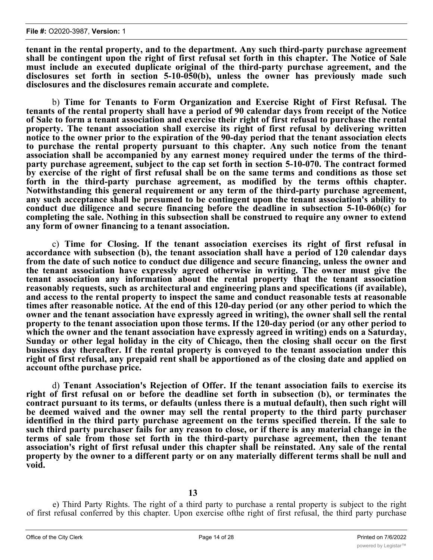**tenant in the rental property, and to the department. Any such third-party purchase agreement shall be contingent upon the right of first refusal set forth in this chapter. The Notice of Sale must include an executed duplicate original of the third-party purchase agreement, and the disclosures set forth in section 5-10-050(b), unless the owner has previously made such disclosures and the disclosures remain accurate and complete.**

b) **Time for Tenants to Form Organization and Exercise Right of First Refusal. The tenants of the rental property shall have a period of 90 calendar days from receipt of the Notice** of Sale to form a tenant association and exercise their right of first refusal to purchase the rental **property. The tenant association shall exercise its right of first refusal by delivering written notice to the owner prior to the expiration of the 90-day period that the tenant association elects to purchase the rental property pursuant to this chapter. Any such notice from the tenant association shall be accompanied by any earnest money required under the terms of the thirdparty purchase agreement, subject to the cap set forth in section 5-10-070. The contract formed** by exercise of the right of first refusal shall be on the same terms and conditions as those set **forth in the third-party purchase agreement, as modified by the terms ofthis chapter. Notwithstanding this general requirement or any term of the third-party purchase agreement, any such acceptance shall be presumed to be contingent upon the tenant association's ability to conduct due diligence and secure financing before the deadline in subsection 5-10-060(c) for completing the sale. Nothing in this subsection shall be construed to require any owner to extend any form of owner financing to a tenant association.**

c) **Time for Closing. If the tenant association exercises its right of first refusal in accordance with subsection (b), the tenant association shall have a period of 120 calendar days from the date of such notice to conduct due diligence and secure financing, unless the owner and the tenant association have expressly agreed otherwise in writing. The owner must give the tenant association any information about the rental property that the tenant association reasonably requests, such as architectural and engineering plans and specifications (if available), and access to the rental property to inspect the same and conduct reasonable tests at reasonable times after reasonable notice. At the end of this 120-day period (or any other period to which the owner and the tenant association have expressly agreed in writing), the owner shall sell the rental property to the tenant association upon those terms. If the 120-day period (or any other period to which the owner and the tenant association have expressly agreed in writing) ends on a Saturday, Sunday or other legal holiday in the city of Chicago, then the closing shall occur on the first business day thereafter. If the rental property is conveyed to the tenant association under this** right of first refusal, any prepaid rent shall be apportioned as of the closing date and applied on **account ofthe purchase price.**

d) **Tenant Association's Rejection of Offer. If the tenant association fails to exercise its right of first refusal on or before the deadline set forth in subsection (b), or terminates the contract pursuant to its terms, or defaults (unless there is a mutual default), then such right will be deemed waived and the owner may sell the rental property to the third party purchaser identified in the third party purchase agreement on the terms specified therein. If the sale to** such third party purchaser fails for any reason to close, or if there is any material change in the **terms of sale from those set forth in the third-party purchase agreement, then the tenant association's right of first refusal under this chapter shall be reinstated. Any sale of the rental property by the owner to a different party or on any materially different terms shall be null and void.**

**13**

e) Third Party Rights. The right of a third party to purchase a rental property is subject to the right of first refusal conferred by this chapter. Upon exercise ofthe right of first refusal, the third party purchase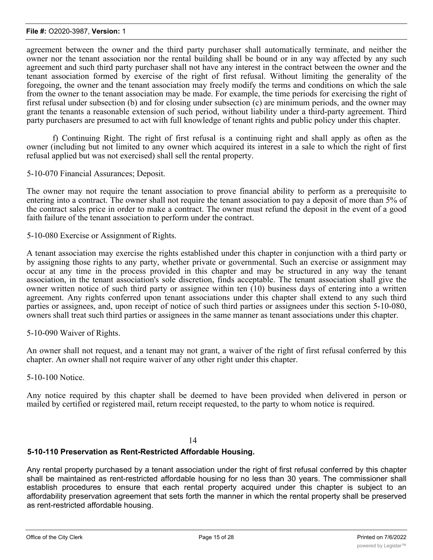agreement between the owner and the third party purchaser shall automatically terminate, and neither the owner nor the tenant association nor the rental building shall be bound or in any way affected by any such agreement and such third party purchaser shall not have any interest in the contract between the owner and the tenant association formed by exercise of the right of first refusal. Without limiting the generality of the foregoing, the owner and the tenant association may freely modify the terms and conditions on which the sale from the owner to the tenant association may be made. For example, the time periods for exercising the right of first refusal under subsection (b) and for closing under subsection (c) are minimum periods, and the owner may grant the tenants a reasonable extension of such period, without liability under a third-party agreement. Third party purchasers are presumed to act with full knowledge of tenant rights and public policy under this chapter.

f) Continuing Right. The right of first refusal is a continuing right and shall apply as often as the owner (including but not limited to any owner which acquired its interest in a sale to which the right of first refusal applied but was not exercised) shall sell the rental property.

5-10-070 Financial Assurances; Deposit.

The owner may not require the tenant association to prove financial ability to perform as a prerequisite to entering into a contract. The owner shall not require the tenant association to pay a deposit of more than 5% of the contract sales price in order to make a contract. The owner must refund the deposit in the event of a good faith failure of the tenant association to perform under the contract.

5-10-080 Exercise or Assignment of Rights.

A tenant association may exercise the rights established under this chapter in conjunction with a third party or by assigning those rights to any party, whether private or governmental. Such an exercise or assignment may occur at any time in the process provided in this chapter and may be structured in any way the tenant association, in the tenant association's sole discretion, finds acceptable. The tenant association shall give the owner written notice of such third party or assignee within ten (10) business days of entering into a written agreement. Any rights conferred upon tenant associations under this chapter shall extend to any such third parties or assignees, and, upon receipt of notice of such third parties or assignees under this section 5-10-080, owners shall treat such third parties or assignees in the same manner as tenant associations under this chapter.

5-10-090 Waiver of Rights.

An owner shall not request, and a tenant may not grant, a waiver of the right of first refusal conferred by this chapter. An owner shall not require waiver of any other right under this chapter.

5-10-100 Notice.

Any notice required by this chapter shall be deemed to have been provided when delivered in person or mailed by certified or registered mail, return receipt requested, to the party to whom notice is required.

#### 14

# **5-10-110 Preservation as Rent-Restricted Affordable Housing.**

Any rental property purchased by a tenant association under the right of first refusal conferred by this chapter shall be maintained as rent-restricted affordable housing for no less than 30 years. The commissioner shall establish procedures to ensure that each rental property acquired under this chapter is subject to an affordability preservation agreement that sets forth the manner in which the rental property shall be preserved as rent-restricted affordable housing.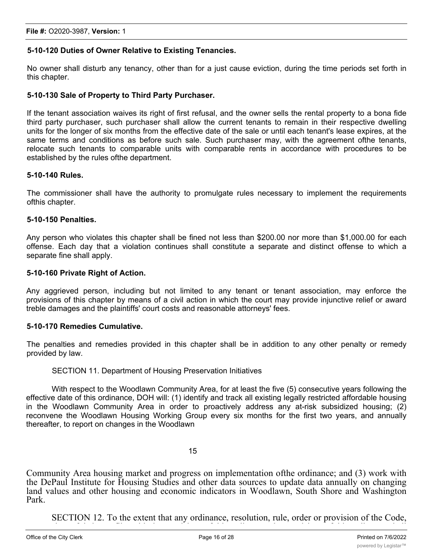# **5-10-120 Duties of Owner Relative to Existing Tenancies.**

No owner shall disturb any tenancy, other than for a just cause eviction, during the time periods set forth in this chapter.

# **5-10-130 Sale of Property to Third Party Purchaser.**

If the tenant association waives its right of first refusal, and the owner sells the rental property to a bona fide third party purchaser, such purchaser shall allow the current tenants to remain in their respective dwelling units for the longer of six months from the effective date of the sale or until each tenant's lease expires, at the same terms and conditions as before such sale. Such purchaser may, with the agreement ofthe tenants, relocate such tenants to comparable units with comparable rents in accordance with procedures to be established by the rules ofthe department.

### **5-10-140 Rules.**

The commissioner shall have the authority to promulgate rules necessary to implement the requirements ofthis chapter.

### **5-10-150 Penalties.**

Any person who violates this chapter shall be fined not less than \$200.00 nor more than \$1,000.00 for each offense. Each day that a violation continues shall constitute a separate and distinct offense to which a separate fine shall apply.

### **5-10-160 Private Right of Action.**

Any aggrieved person, including but not limited to any tenant or tenant association, may enforce the provisions of this chapter by means of a civil action in which the court may provide injunctive relief or award treble damages and the plaintiffs' court costs and reasonable attorneys' fees.

# **5-10-170 Remedies Cumulative.**

The penalties and remedies provided in this chapter shall be in addition to any other penalty or remedy provided by law.

#### SECTION 11. Department of Housing Preservation Initiatives

With respect to the Woodlawn Community Area, for at least the five (5) consecutive years following the effective date of this ordinance, DOH will: (1) identify and track all existing legally restricted affordable housing in the Woodlawn Community Area in order to proactively address any at-risk subsidized housing; (2) reconvene the Woodlawn Housing Working Group every six months for the first two years, and annually thereafter, to report on changes in the Woodlawn

# 15

Community Area housing market and progress on implementation ofthe ordinance; and (3) work with the DePaul Institute for Housing Studies and other data sources to update data annually on changing land values and other housing and economic indicators in Woodlawn, South Shore and Washington Park.

SECTION 12. To the extent that any ordinance, resolution, rule, order or provision of the Code, or part thereof, is in conflict with the provisions of this ordinance, the provisions of this ordinance shall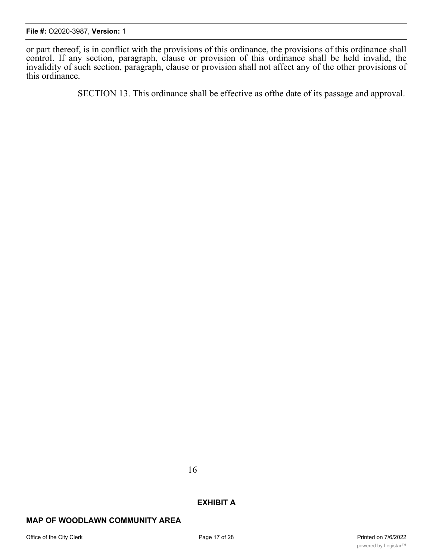or part thereof, is in conflict with the provisions of this ordinance, the provisions of this ordinance shall control. If any section, paragraph, clause or provision of this ordinance shall be held invalid, the invalidity of such section, paragraph, clause or provision shall not affect any of the other provisions of this ordinance.

SECTION 13. This ordinance shall be effective as ofthe date of its passage and approval.

16

# **EXHIBIT A**

# **MAP OF WOODLAWN COMMUNITY AREA**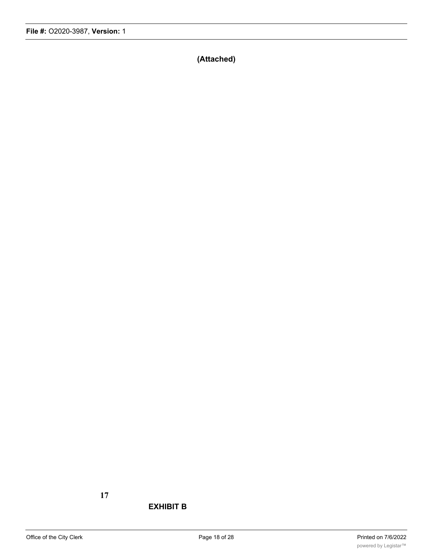**(Attached)**

# **17**

# **EXHIBIT B**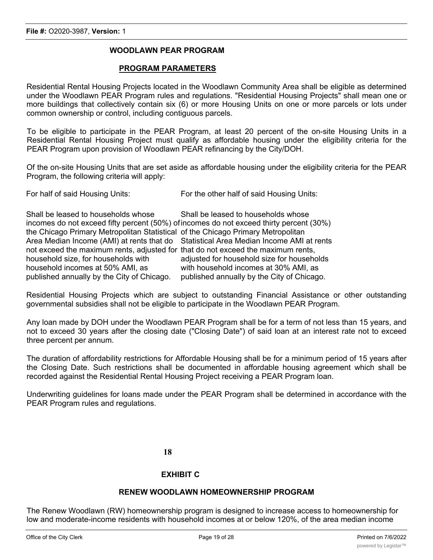# **WOODLAWN PEAR PROGRAM**

### **PROGRAM PARAMETERS**

Residential Rental Housing Projects located in the Woodlawn Community Area shall be eligible as determined under the Woodlawn PEAR Program rules and regulations. "Residential Housing Projects" shall mean one or more buildings that collectively contain six (6) or more Housing Units on one or more parcels or lots under common ownership or control, including contiguous parcels.

To be eligible to participate in the PEAR Program, at least 20 percent of the on-site Housing Units in a Residential Rental Housing Project must qualify as affordable housing under the eligibility criteria for the PEAR Program upon provision of Woodlawn PEAR refinancing by the City/DOH.

Of the on-site Housing Units that are set aside as affordable housing under the eligibility criteria for the PEAR Program, the following criteria will apply:

| Shall be leased to households whose                                                     | Shall be leased to households whose                                                   |
|-----------------------------------------------------------------------------------------|---------------------------------------------------------------------------------------|
| incomes do not exceed fifty percent (50%) of incomes do not exceed thirty percent (30%) |                                                                                       |
| the Chicago Primary Metropolitan Statistical of the Chicago Primary Metropolitan        |                                                                                       |
|                                                                                         | Area Median Income (AMI) at rents that do Statistical Area Median Income AMI at rents |
| not exceed the maximum rents, adjusted for that do not exceed the maximum rents,        |                                                                                       |
| household size, for households with                                                     | adjusted for household size for households                                            |
| household incomes at 50% AMI, as                                                        | with household incomes at 30% AMI, as                                                 |
| published annually by the City of Chicago.                                              | published annually by the City of Chicago.                                            |

Residential Housing Projects which are subject to outstanding Financial Assistance or other outstanding governmental subsidies shall not be eligible to participate in the Woodlawn PEAR Program.

Any loan made by DOH under the Woodlawn PEAR Program shall be for a term of not less than 15 years, and not to exceed 30 years after the closing date ("Closing Date") of said loan at an interest rate not to exceed three percent per annum.

The duration of affordability restrictions for Affordable Housing shall be for a minimum period of 15 years after the Closing Date. Such restrictions shall be documented in affordable housing agreement which shall be recorded against the Residential Rental Housing Project receiving a PEAR Program loan.

Underwriting guidelines for loans made under the PEAR Program shall be determined in accordance with the PEAR Program rules and regulations.

**18**

# **EXHIBIT C**

# **RENEW WOODLAWN HOMEOWNERSHIP PROGRAM**

The Renew Woodlawn (RW) homeownership program is designed to increase access to homeownership for low and moderate-income residents with household incomes at or below 120%, of the area median income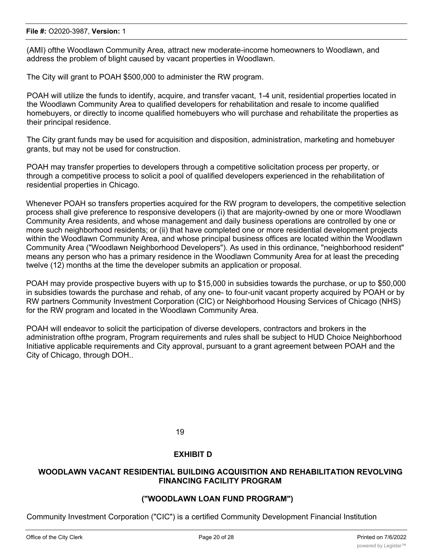#### **File #:** O2020-3987, **Version:** 1

(AMI) ofthe Woodlawn Community Area, attract new moderate-income homeowners to Woodlawn, and address the problem of blight caused by vacant properties in Woodlawn.

The City will grant to POAH \$500,000 to administer the RW program.

POAH will utilize the funds to identify, acquire, and transfer vacant, 1-4 unit, residential properties located in the Woodlawn Community Area to qualified developers for rehabilitation and resale to income qualified homebuyers, or directly to income qualified homebuyers who will purchase and rehabilitate the properties as their principal residence.

The City grant funds may be used for acquisition and disposition, administration, marketing and homebuyer grants, but may not be used for construction.

POAH may transfer properties to developers through a competitive solicitation process per property, or through a competitive process to solicit a pool of qualified developers experienced in the rehabilitation of residential properties in Chicago.

Whenever POAH so transfers properties acquired for the RW program to developers, the competitive selection process shall give preference to responsive developers (i) that are majority-owned by one or more Woodlawn Community Area residents, and whose management and daily business operations are controlled by one or more such neighborhood residents; or (ii) that have completed one or more residential development projects within the Woodlawn Community Area, and whose principal business offices are located within the Woodlawn Community Area ("Woodlawn Neighborhood Developers"). As used in this ordinance, "neighborhood resident" means any person who has a primary residence in the Woodlawn Community Area for at least the preceding twelve (12) months at the time the developer submits an application or proposal.

POAH may provide prospective buyers with up to \$15,000 in subsidies towards the purchase, or up to \$50,000 in subsidies towards the purchase and rehab, of any one- to four-unit vacant property acquired by POAH or by RW partners Community Investment Corporation (CIC) or Neighborhood Housing Services of Chicago (NHS) for the RW program and located in the Woodlawn Community Area.

POAH will endeavor to solicit the participation of diverse developers, contractors and brokers in the administration ofthe program, Program requirements and rules shall be subject to HUD Choice Neighborhood Initiative applicable requirements and City approval, pursuant to a grant agreement between POAH and the City of Chicago, through DOH..

19

# **EXHIBIT D**

# **WOODLAWN VACANT RESIDENTIAL BUILDING ACQUISITION AND REHABILITATION REVOLVING FINANCING FACILITY PROGRAM**

# **("WOODLAWN LOAN FUND PROGRAM")**

Community Investment Corporation ("CIC") is a certified Community Development Financial Institution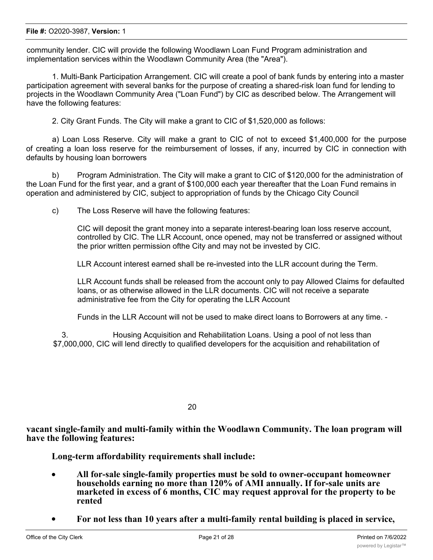#### **File #:** O2020-3987, **Version:** 1

community lender. CIC will provide the following Woodlawn Loan Fund Program administration and implementation services within the Woodlawn Community Area (the "Area").

1. Multi-Bank Participation Arrangement. CIC will create a pool of bank funds by entering into a master participation agreement with several banks for the purpose of creating a shared-risk loan fund for lending to projects in the Woodlawn Community Area ("Loan Fund") by CIC as described below. The Arrangement will have the following features:

2. City Grant Funds. The City will make a grant to CIC of \$1,520,000 as follows:

a) Loan Loss Reserve. City will make a grant to CIC of not to exceed \$1,400,000 for the purpose of creating a loan loss reserve for the reimbursement of losses, if any, incurred by CIC in connection with defaults by housing loan borrowers

b) Program Administration. The City will make a grant to CIC of \$120,000 for the administration of the Loan Fund for the first year, and a grant of \$100,000 each year thereafter that the Loan Fund remains in operation and administered by CIC, subject to appropriation of funds by the Chicago City Council

c) The Loss Reserve will have the following features:

CIC will deposit the grant money into a separate interest-bearing loan loss reserve account, controlled by CIC. The LLR Account, once opened, may not be transferred or assigned without the prior written permission ofthe City and may not be invested by CIC.

LLR Account interest earned shall be re-invested into the LLR account during the Term.

LLR Account funds shall be released from the account only to pay Allowed Claims for defaulted loans, or as otherwise allowed in the LLR documents. CIC will not receive a separate administrative fee from the City for operating the LLR Account

Funds in the LLR Account will not be used to make direct loans to Borrowers at any time. -

3. Housing Acquisition and Rehabilitation Loans. Using a pool of not less than \$7,000,000, CIC will lend directly to qualified developers for the acquisition and rehabilitation of

20

**vacant single-family and multi-family within the Woodlawn Community. The loan program will have the following features:**

**Long-term affordability requirements shall include:**

- · **All for-sale single-family properties must be sold to owner-occupant homeowner households earning no more than 120% of AMI annually. If for-sale units are marketed in excess of 6 months, CIC may request approval for the property to be rented**
- · **For not less than 10 years after a multi-family rental building is placed in service,**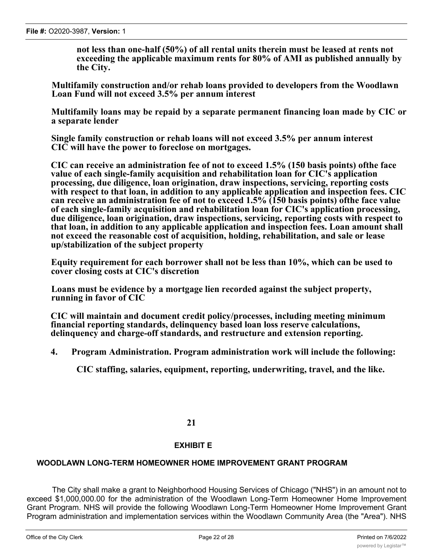**not less than one-half (50%) of all rental units therein must be leased at rents not exceeding the applicable maximum rents for 80% of AMI as published annually by the City.**

**Multifamily construction and/or rehab loans provided to developers from the Woodlawn Loan Fund will not exceed 3.5% per annum interest**

**Multifamily loans may be repaid by a separate permanent financing loan made by CIC or a separate lender**

**Single family construction or rehab loans will not exceed 3.5% per annum interest CIC will have the power to foreclose on mortgages.**

**CIC can receive an administration fee of not to exceed 1.5% (150 basis points) ofthe face value of each single-family acquisition and rehabilitation loan for CIC's application processing, due diligence, loan origination, draw inspections, servicing, reporting costs with respect to that loan, in addition to any applicable application and inspection fees. CIC can receive an administration fee of not to exceed 1.5% (150 basis points) ofthe face value of each single-family acquisition and rehabilitation loan for CIC's application processing, due diligence, loan origination, draw inspections, servicing, reporting costs with respect to that loan, in addition to any applicable application and inspection fees. Loan amount shall not exceed the reasonable cost of acquisition, holding, rehabilitation, and sale or lease up/stabilization of the subject property**

**Equity requirement for each borrower shall not be less than 10%, which can be used to cover closing costs at CIC's discretion**

**Loans must be evidence by a mortgage lien recorded against the subject property, running in favor of CIC**

**CIC will maintain and document credit policy/processes, including meeting minimum financial reporting standards, delinquency based loan loss reserve calculations, delinquency and charge-off standards, and restructure and extension reporting.**

**4. Program Administration. Program administration work will include the following:**

**CIC staffing, salaries, equipment, reporting, underwriting, travel, and the like.**

# **21**

# **EXHIBIT E**

# **WOODLAWN LONG-TERM HOMEOWNER HOME IMPROVEMENT GRANT PROGRAM**

The City shall make a grant to Neighborhood Housing Services of Chicago ("NHS") in an amount not to exceed \$1,000,000.00 for the administration of the Woodlawn Long-Term Homeowner Home Improvement Grant Program. NHS will provide the following Woodlawn Long-Term Homeowner Home Improvement Grant Program administration and implementation services within the Woodlawn Community Area (the "Area"). NHS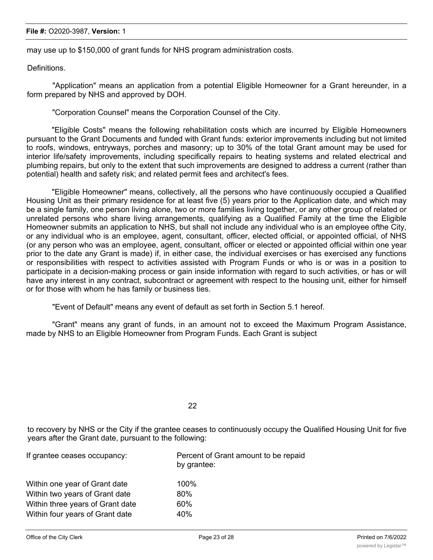#### **File #:** O2020-3987, **Version:** 1

may use up to \$150,000 of grant funds for NHS program administration costs.

Definitions.

"Application" means an application from a potential Eligible Homeowner for a Grant hereunder, in a form prepared by NHS and approved by DOH.

"Corporation Counsel" means the Corporation Counsel of the City.

"Eligible Costs" means the following rehabilitation costs which are incurred by Eligible Homeowners pursuant to the Grant Documents and funded with Grant funds: exterior improvements including but not limited to roofs, windows, entryways, porches and masonry; up to 30% of the total Grant amount may be used for interior life/safety improvements, including specifically repairs to heating systems and related electrical and plumbing repairs, but only to the extent that such improvements are designed to address a current (rather than potential) health and safety risk; and related permit fees and architect's fees.

"Eligible Homeowner" means, collectively, all the persons who have continuously occupied a Qualified Housing Unit as their primary residence for at least five (5) years prior to the Application date, and which may be a single family, one person living alone, two or more families living together, or any other group of related or unrelated persons who share living arrangements, qualifying as a Qualified Family at the time the Eligible Homeowner submits an application to NHS, but shall not include any individual who is an employee ofthe City, or any individual who is an employee, agent, consultant, officer, elected official, or appointed official, of NHS (or any person who was an employee, agent, consultant, officer or elected or appointed official within one year prior to the date any Grant is made) if, in either case, the individual exercises or has exercised any functions or responsibilities with respect to activities assisted with Program Funds or who is or was in a position to participate in a decision-making process or gain inside information with regard to such activities, or has or will have any interest in any contract, subcontract or agreement with respect to the housing unit, either for himself or for those with whom he has family or business ties.

"Event of Default" means any event of default as set forth in Section 5.1 hereof.

"Grant" means any grant of funds, in an amount not to exceed the Maximum Program Assistance, made by NHS to an Eligible Homeowner from Program Funds. Each Grant is subject

22

to recovery by NHS or the City if the grantee ceases to continuously occupy the Qualified Housing Unit for five years after the Grant date, pursuant to the following:

| Percent of Grant amount to be repaid<br>by grantee: |  |
|-----------------------------------------------------|--|
| 100%                                                |  |
| 80%                                                 |  |
| 60%                                                 |  |
| 40%                                                 |  |
|                                                     |  |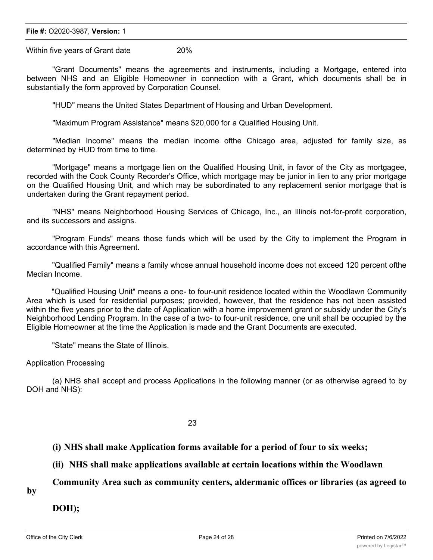# **File #: 02020-3987, Version: 1**

Within four years of Grant date 40% of Grant date 40% of Grant date 40% of Grant date 40% of Grant date 40% of Within five years of Grant date 20%

Within two years of Grant date 80% of Grant date 80% of Grant date 80% of Grant date 80% of Grant date 80% of

"Grant Documents" means the agreements and instruments, including a Mortgage, entered into between NHS and an Eligible Homeowner in connection with a Grant, which documents shall be in substantially the form approved by Corporation Counsel.

"HUD" means the United States Department of Housing and Urban Development.

"Maximum Program Assistance" means \$20,000 for a Qualified Housing Unit.

"Median Income" means the median income ofthe Chicago area, adjusted for family size, as determined by HUD from time to time.

"Mortgage" means a mortgage lien on the Qualified Housing Unit, in favor of the City as mortgagee, recorded with the Cook County Recorder's Office, which mortgage may be junior in lien to any prior mortgage on the Qualified Housing Unit, and which may be subordinated to any replacement senior mortgage that is undertaken during the Grant repayment period.

"NHS" means Neighborhood Housing Services of Chicago, Inc., an Illinois not-for-profit corporation, and its successors and assigns.

"Program Funds" means those funds which will be used by the City to implement the Program in accordance with this Agreement.

"Qualified Family" means a family whose annual household income does not exceed 120 percent ofthe Median Income.

"Qualified Housing Unit" means a one- to four-unit residence located within the Woodlawn Community Area which is used for residential purposes; provided, however, that the residence has not been assisted within the five years prior to the date of Application with a home improvement grant or subsidy under the City's Neighborhood Lending Program. In the case of a two- to four-unit residence, one unit shall be occupied by the Eligible Homeowner at the time the Application is made and the Grant Documents are executed.

"State" means the State of Illinois.

# Application Processing

(a) NHS shall accept and process Applications in the following manner (or as otherwise agreed to by DOH and NHS):

23

**(i) NHS shall make Application forms available for a period of four to six weeks;**

**(ii) NHS shall make applications available at certain locations within the Woodlawn**

**Community Area such as community centers, aldermanic offices or libraries (as agreed to**

**by**

**DOH);**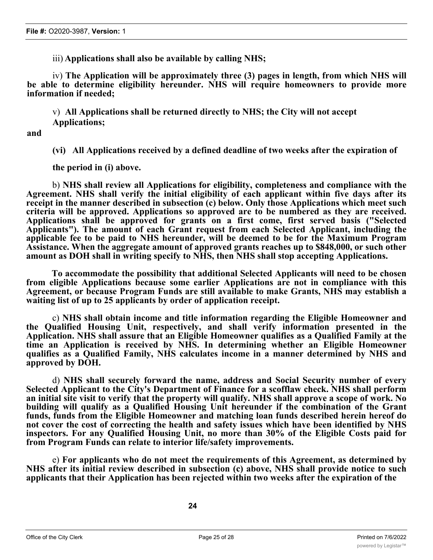iii) **Applications shall also be available by calling NHS;**

iv) **The Application will be approximately three (3) pages in length, from which NHS will be able to determine eligibility hereunder. NHS will require homeowners to provide more information if needed;**

v) **All Applications shall be returned directly to NHS; the City will not accept Applications;**

**and**

**(vi) All Applications received by a defined deadline of two weeks after the expiration of**

**the period in (i) above.**

b) **NHS shall review all Applications for eligibility, completeness and compliance with the Agreement. NHS shall verify the initial eligibility of each applicant within five days after its receipt in the manner described in subsection (c) below. Only those Applications which meet such criteria will be approved. Applications so approved are to be numbered as they are received. Applications shall be approved for grants on a first come, first served basis ("Selected Applicants"). The amount of each Grant request from each Selected Applicant, including the applicable fee to be paid to NHS hereunder, will be deemed to be for the Maximum Program Assistance. When the aggregate amount of approved grants reaches up to \$848,000, or such other amount as DOH shall in writing specify to NHS, then NHS shall stop accepting Applications.**

**To accommodate the possibility that additional Selected Applicants will need to be chosen from eligible Applications because some earlier Applications are not in compliance with this Agreement, or because Program Funds are still available to make Grants, NHS may establish a waiting list of up to 25 applicants by order of application receipt.**

c) **NHS shall obtain income and title information regarding the Eligible Homeowner and the Qualified Housing Unit, respectively, and shall verify information presented in the Application. NHS shall assure that an Eligible Homeowner qualifies as a Qualified Family at the time an Application is received by NHS. In determining whether an Eligible Homeowner qualifies as a Qualified Family, NHS calculates income in a manner determined by NHS and approved by DOH.**

d) **NHS shall securely forward the name, address and Social Security number of every Selected Applicant to the City's Department of Finance for a scofflaw check. NHS shall perform** an initial site visit to verify that the property will qualify. NHS shall approve a scope of work. No **building will qualify as a Qualified Housing Unit hereunder if the combination of the Grant funds, funds from the Eligible Homeowner and matching loan funds described herein hereof do not cover the cost of correcting the health and safety issues which have been identified by NHS inspectors. For any Qualified Housing Unit, no more than 30% of the Eligible Costs paid for from Program Funds can relate to interior life/safety improvements.**

e) **For applicants who do not meet the requirements of this Agreement, as determined by NHS after its initial review described in subsection (c) above, NHS shall provide notice to such applicants that their Application has been rejected within two weeks after the expiration of the**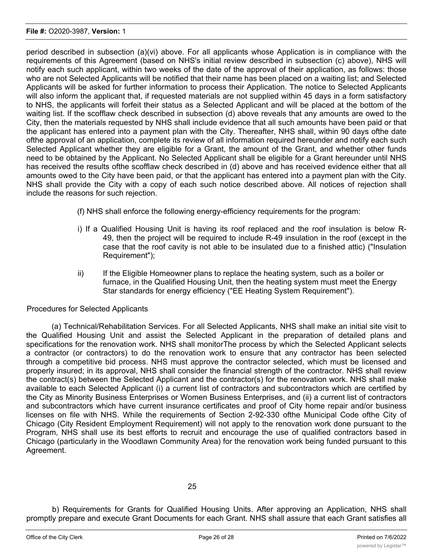period described in subsection (a)(vi) above. For all applicants whose Application is in compliance with the requirements of this Agreement (based on NHS's initial review described in subsection (c) above), NHS will notify each such applicant, within two weeks of the date of the approval of their application, as follows: those who are not Selected Applicants will be notified that their name has been placed on a waiting list; and Selected Applicants will be asked for further information to process their Application. The notice to Selected Applicants will also inform the applicant that, if requested materials are not supplied within 45 days in a form satisfactory to NHS, the applicants will forfeit their status as a Selected Applicant and will be placed at the bottom of the waiting list. If the scofflaw check described in subsection (d) above reveals that any amounts are owed to the City, then the materials requested by NHS shall include evidence that all such amounts have been paid or that the applicant has entered into a payment plan with the City. Thereafter, NHS shall, within 90 days ofthe date ofthe approval of an application, complete its review of all information required hereunder and notify each such Selected Applicant whether they are eligible for a Grant, the amount of the Grant, and whether other funds need to be obtained by the Applicant. No Selected Applicant shall be eligible for a Grant hereunder until NHS has received the results ofthe scofflaw check described in (d) above and has received evidence either that all amounts owed to the City have been paid, or that the applicant has entered into a payment plan with the City. NHS shall provide the City with a copy of each such notice described above. All notices of rejection shall include the reasons for such rejection.

- (f) NHS shall enforce the following energy-efficiency requirements for the program:
- i) If a Qualified Housing Unit is having its roof replaced and the roof insulation is below R-49, then the project will be required to include R-49 insulation in the roof (except in the case that the roof cavity is not able to be insulated due to a finished attic) ("Insulation Requirement");
- ii) If the Eligible Homeowner plans to replace the heating system, such as a boiler or furnace, in the Qualified Housing Unit, then the heating system must meet the Energy Star standards for energy efficiency ("EE Heating System Requirement").

# Procedures for Selected Applicants

(a) Technical/Rehabilitation Services. For all Selected Applicants, NHS shall make an initial site visit to the Qualified Housing Unit and assist the Selected Applicant in the preparation of detailed plans and specifications for the renovation work. NHS shall monitorThe process by which the Selected Applicant selects a contractor (or contractors) to do the renovation work to ensure that any contractor has been selected through a competitive bid process. NHS must approve the contractor selected, which must be licensed and properly insured; in its approval, NHS shall consider the financial strength of the contractor. NHS shall review the contract(s) between the Selected Applicant and the contractor(s) for the renovation work. NHS shall make available to each Selected Applicant (i) a current list of contractors and subcontractors which are certified by the City as Minority Business Enterprises or Women Business Enterprises, and (ii) a current list of contractors and subcontractors which have current insurance certificates and proof of City home repair and/or business licenses on file with NHS. While the requirements of Section 2-92-330 ofthe Municipal Code ofthe City of Chicago (City Resident Employment Requirement) will not apply to the renovation work done pursuant to the Program, NHS shall use its best efforts to recruit and encourage the use of qualified contractors based in Chicago (particularly in the Woodlawn Community Area) for the renovation work being funded pursuant to this Agreement.

b) Requirements for Grants for Qualified Housing Units. After approving an Application, NHS shall promptly prepare and execute Grant Documents for each Grant. NHS shall assure that each Grant satisfies all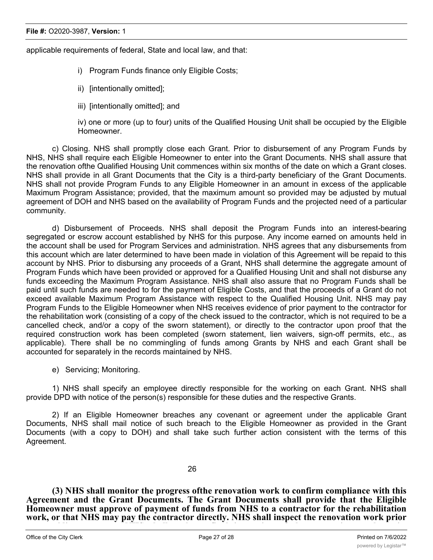applicable requirements of federal, State and local law, and that:

- i) Program Funds finance only Eligible Costs;
- ii) [intentionally omitted];
- iii) [intentionally omitted]; and

iv) one or more (up to four) units of the Qualified Housing Unit shall be occupied by the Eligible Homeowner.

c) Closing. NHS shall promptly close each Grant. Prior to disbursement of any Program Funds by NHS, NHS shall require each Eligible Homeowner to enter into the Grant Documents. NHS shall assure that the renovation ofthe Qualified Housing Unit commences within six months of the date on which a Grant closes. NHS shall provide in all Grant Documents that the City is a third-party beneficiary of the Grant Documents. NHS shall not provide Program Funds to any Eligible Homeowner in an amount in excess of the applicable Maximum Program Assistance; provided, that the maximum amount so provided may be adjusted by mutual agreement of DOH and NHS based on the availability of Program Funds and the projected need of a particular community.

d) Disbursement of Proceeds. NHS shall deposit the Program Funds into an interest-bearing segregated or escrow account established by NHS for this purpose. Any income earned on amounts held in the account shall be used for Program Services and administration. NHS agrees that any disbursements from this account which are later determined to have been made in violation of this Agreement will be repaid to this account by NHS. Prior to disbursing any proceeds of a Grant, NHS shall determine the aggregate amount of Program Funds which have been provided or approved for a Qualified Housing Unit and shall not disburse any funds exceeding the Maximum Program Assistance. NHS shall also assure that no Program Funds shall be paid until such funds are needed to for the payment of Eligible Costs, and that the proceeds of a Grant do not exceed available Maximum Program Assistance with respect to the Qualified Housing Unit. NHS may pay Program Funds to the Eligible Homeowner when NHS receives evidence of prior payment to the contractor for the rehabilitation work (consisting of a copy of the check issued to the contractor, which is not required to be a cancelled check, and/or a copy of the sworn statement), or directly to the contractor upon proof that the required construction work has been completed (sworn statement, lien waivers, sign-off permits, etc., as applicable). There shall be no commingling of funds among Grants by NHS and each Grant shall be accounted for separately in the records maintained by NHS.

e) Servicing; Monitoring.

1) NHS shall specify an employee directly responsible for the working on each Grant. NHS shall provide DPD with notice of the person(s) responsible for these duties and the respective Grants.

2) If an Eligible Homeowner breaches any covenant or agreement under the applicable Grant Documents, NHS shall mail notice of such breach to the Eligible Homeowner as provided in the Grant Documents (with a copy to DOH) and shall take such further action consistent with the terms of this Agreement.

26

**(3) NHS shall monitor the progress ofthe renovation work to confirm compliance with this Agreement and the Grant Documents. The Grant Documents shall provide that the Eligible Homeowner must approve of payment of funds from NHS to a contractor for the rehabilitation work, or that NHS may pay the contractor directly. NHS shall inspect the renovation work prior to providing payment. NHS shall make a final inspection of the renovation work at its**